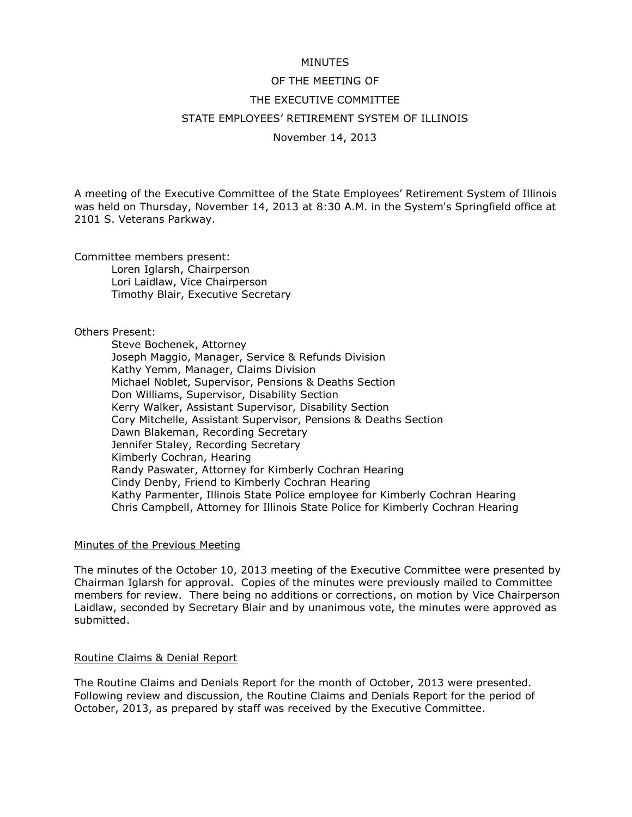# MINUTES

# OF THE MEETING OF THE EXECUTIVE COMMITTEE STATE EMPLOYEES' RETIREMENT SYSTEM OF ILLINOIS

November 14, 2013

A meeting of the Executive Committee of the State Employees' Retirement System of Illinois was held on Thursday, November 14, 2013 at 8:30 A.M. in the System's Springfield office at 2101 S. Veterans Parkway.

Committee members present:

Loren Iglarsh, Chairperson Lori Laidlaw, Vice Chairperson Timothy Blair, Executive Secretary

# Others Present:

Steve Bochenek, Attorney Joseph Maggio, Manager, Service & Refunds Division Kathy Yemm, Manager, Claims Division Michael Noblet, Supervisor, Pensions & Deaths Section Don Williams, Supervisor, Disability Section Kerry Walker, Assistant Supervisor, Disability Section Cory Mitchelle, Assistant Supervisor, Pensions & Deaths Section Dawn Blakeman, Recording Secretary Jennifer Staley, Recording Secretary Kimberly Cochran, Hearing Randy Paswater, Attorney for Kimberly Cochran Hearing Cindy Denby, Friend to Kimberly Cochran Hearing Kathy Parmenter, Illinois State Police employee for Kimberly Cochran Hearing Chris Campbell, Attorney for Illinois State Police for Kimberly Cochran Hearing

# Minutes of the Previous Meeting

The minutes of the October 10, 2013 meeting of the Executive Committee were presented by Chairman Iglarsh for approval. Copies of the minutes were previously mailed to Committee members for review. There being no additions or corrections, on motion by Vice Chairperson Laidlaw, seconded by Secretary Blair and by unanimous vote, the minutes were approved as submitted.

# Routine Claims & Denial Report

The Routine Claims and Denials Report for the month of October, 2013 were presented. Following review and discussion, the Routine Claims and Denials Report for the period of October, 2013, as prepared by staff was received by the Executive Committee.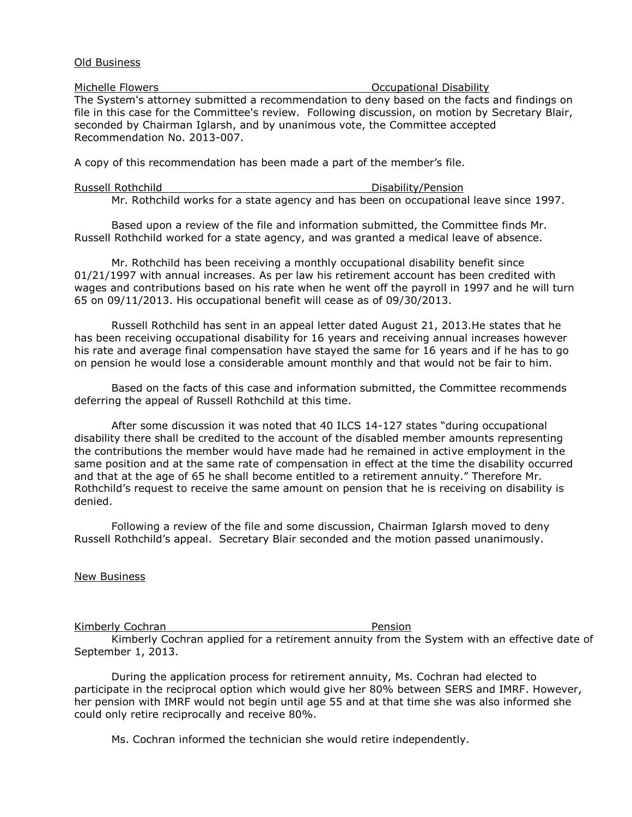### Old Business

Michelle Flowers **Michelle Flowers Michelle Flowers Occupational Disability** The System's attorney submitted a recommendation to deny based on the facts and findings on file in this case for the Committee's review. Following discussion, on motion by Secretary Blair, seconded by Chairman Iglarsh, and by unanimous vote, the Committee accepted Recommendation No. 2013-007.

A copy of this recommendation has been made a part of the member's file.

| Russell Rothchild | Disability/Pension                                                                    |
|-------------------|---------------------------------------------------------------------------------------|
|                   | Mr. Rothchild works for a state agency and has been on occupational leave since 1997. |

Based upon a review of the file and information submitted, the Committee finds Mr. Russell Rothchild worked for a state agency, and was granted a medical leave of absence.

Mr. Rothchild has been receiving a monthly occupational disability benefit since 01/21/1997 with annual increases. As per law his retirement account has been credited with wages and contributions based on his rate when he went off the payroll in 1997 and he will turn 65 on 09/11/2013. His occupational benefit will cease as of 09/30/2013.

Russell Rothchild has sent in an appeal letter dated August 21, 2013.He states that he has been receiving occupational disability for 16 years and receiving annual increases however his rate and average final compensation have stayed the same for 16 years and if he has to go on pension he would lose a considerable amount monthly and that would not be fair to him.

Based on the facts of this case and information submitted, the Committee recommends deferring the appeal of Russell Rothchild at this time.

After some discussion it was noted that 40 ILCS 14-127 states "during occupational disability there shall be credited to the account of the disabled member amounts representing the contributions the member would have made had he remained in active employment in the same position and at the same rate of compensation in effect at the time the disability occurred and that at the age of 65 he shall become entitled to a retirement annuity." Therefore Mr. Rothchild's request to receive the same amount on pension that he is receiving on disability is denied.

Following a review of the file and some discussion, Chairman Iglarsh moved to deny Russell Rothchild's appeal. Secretary Blair seconded and the motion passed unanimously.

New Business

Kimberly Cochran **Pension** 

Kimberly Cochran applied for a retirement annuity from the System with an effective date of September 1, 2013.

During the application process for retirement annuity, Ms. Cochran had elected to participate in the reciprocal option which would give her 80% between SERS and IMRF. However, her pension with IMRF would not begin until age 55 and at that time she was also informed she could only retire reciprocally and receive 80%.

Ms. Cochran informed the technician she would retire independently.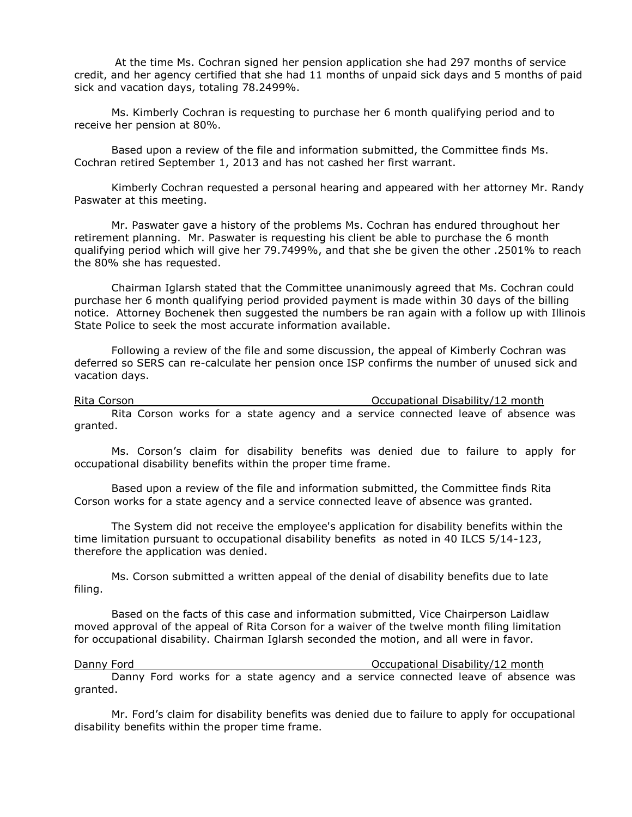At the time Ms. Cochran signed her pension application she had 297 months of service credit, and her agency certified that she had 11 months of unpaid sick days and 5 months of paid sick and vacation days, totaling 78.2499%.

Ms. Kimberly Cochran is requesting to purchase her 6 month qualifying period and to receive her pension at 80%.

Based upon a review of the file and information submitted, the Committee finds Ms. Cochran retired September 1, 2013 and has not cashed her first warrant.

Kimberly Cochran requested a personal hearing and appeared with her attorney Mr. Randy Paswater at this meeting.

Mr. Paswater gave a history of the problems Ms. Cochran has endured throughout her retirement planning. Mr. Paswater is requesting his client be able to purchase the 6 month qualifying period which will give her 79.7499%, and that she be given the other .2501% to reach the 80% she has requested.

Chairman Iglarsh stated that the Committee unanimously agreed that Ms. Cochran could purchase her 6 month qualifying period provided payment is made within 30 days of the billing notice. Attorney Bochenek then suggested the numbers be ran again with a follow up with Illinois State Police to seek the most accurate information available.

Following a review of the file and some discussion, the appeal of Kimberly Cochran was deferred so SERS can re-calculate her pension once ISP confirms the number of unused sick and vacation days.

Rita Corson **Communist Constructs** Corresponding Communist Corresponding Occupational Disability/12 month Rita Corson works for a state agency and a service connected leave of absence was granted.

Ms. Corson's claim for disability benefits was denied due to failure to apply for occupational disability benefits within the proper time frame.

Based upon a review of the file and information submitted, the Committee finds Rita Corson works for a state agency and a service connected leave of absence was granted.

The System did not receive the employee's application for disability benefits within the time limitation pursuant to occupational disability benefits as noted in 40 ILCS 5/14-123, therefore the application was denied.

Ms. Corson submitted a written appeal of the denial of disability benefits due to late filing.

Based on the facts of this case and information submitted, Vice Chairperson Laidlaw moved approval of the appeal of Rita Corson for a waiver of the twelve month filing limitation for occupational disability. Chairman Iglarsh seconded the motion, and all were in favor.

Danny Ford **Calculational Disability**/12 month Danny Ford works for a state agency and a service connected leave of absence was granted.

Mr. Ford's claim for disability benefits was denied due to failure to apply for occupational disability benefits within the proper time frame.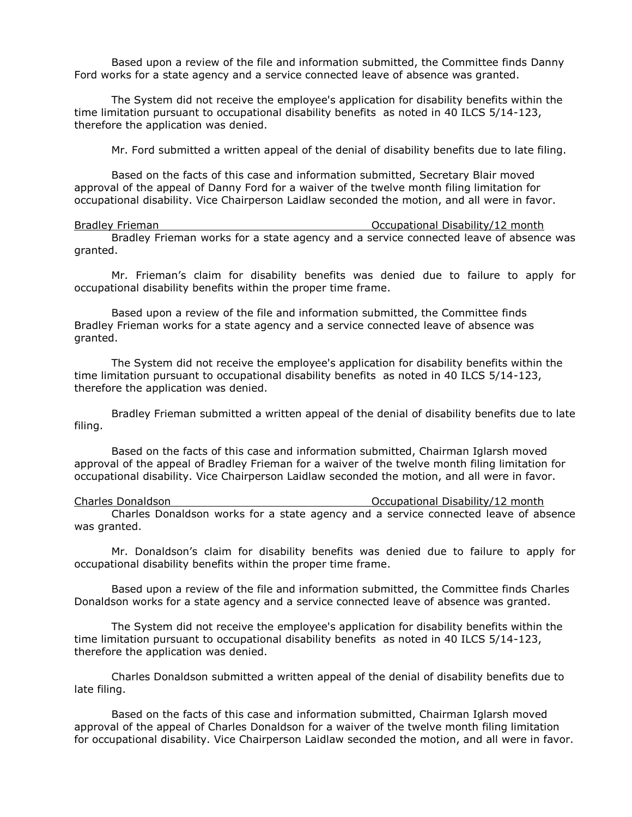Based upon a review of the file and information submitted, the Committee finds Danny Ford works for a state agency and a service connected leave of absence was granted.

The System did not receive the employee's application for disability benefits within the time limitation pursuant to occupational disability benefits as noted in 40 ILCS 5/14-123, therefore the application was denied.

Mr. Ford submitted a written appeal of the denial of disability benefits due to late filing.

Based on the facts of this case and information submitted, Secretary Blair moved approval of the appeal of Danny Ford for a waiver of the twelve month filing limitation for occupational disability. Vice Chairperson Laidlaw seconded the motion, and all were in favor.

Bradley Frieman **Bradley Frieman** Constructional Disability/12 month Bradley Frieman works for a state agency and a service connected leave of absence was granted.

Mr. Frieman's claim for disability benefits was denied due to failure to apply for occupational disability benefits within the proper time frame.

Based upon a review of the file and information submitted, the Committee finds Bradley Frieman works for a state agency and a service connected leave of absence was granted.

The System did not receive the employee's application for disability benefits within the time limitation pursuant to occupational disability benefits as noted in 40 ILCS 5/14-123, therefore the application was denied.

Bradley Frieman submitted a written appeal of the denial of disability benefits due to late filing.

Based on the facts of this case and information submitted, Chairman Iglarsh moved approval of the appeal of Bradley Frieman for a waiver of the twelve month filing limitation for occupational disability. Vice Chairperson Laidlaw seconded the motion, and all were in favor.

Charles Donaldson Occupational Disability/12 month Charles Donaldson works for a state agency and a service connected leave of absence was granted.

Mr. Donaldson's claim for disability benefits was denied due to failure to apply for occupational disability benefits within the proper time frame.

Based upon a review of the file and information submitted, the Committee finds Charles Donaldson works for a state agency and a service connected leave of absence was granted.

The System did not receive the employee's application for disability benefits within the time limitation pursuant to occupational disability benefits as noted in 40 ILCS 5/14-123, therefore the application was denied.

Charles Donaldson submitted a written appeal of the denial of disability benefits due to late filing.

Based on the facts of this case and information submitted, Chairman Iglarsh moved approval of the appeal of Charles Donaldson for a waiver of the twelve month filing limitation for occupational disability. Vice Chairperson Laidlaw seconded the motion, and all were in favor.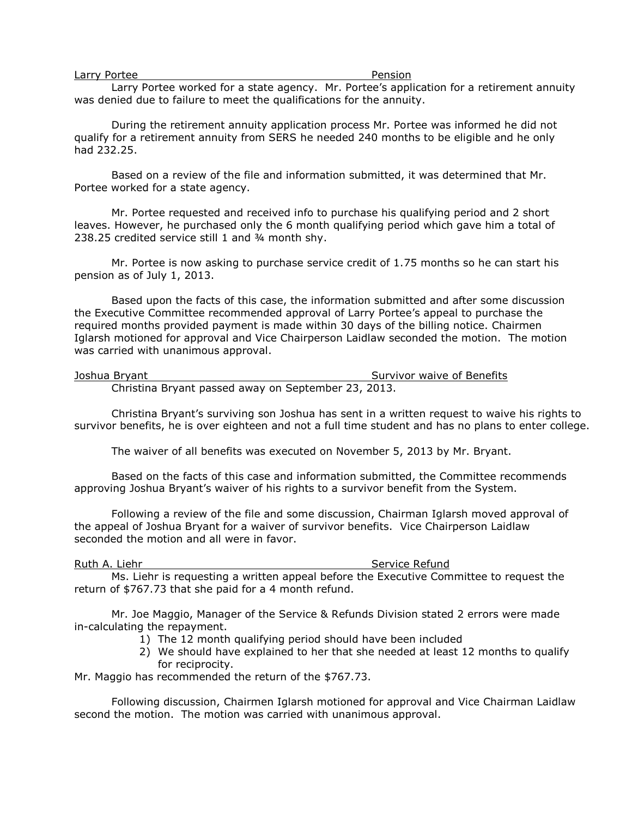### Pension

Larry Portee worked for a state agency. Mr. Portee's application for a retirement annuity was denied due to failure to meet the qualifications for the annuity.

During the retirement annuity application process Mr. Portee was informed he did not qualify for a retirement annuity from SERS he needed 240 months to be eligible and he only had 232.25.

Based on a review of the file and information submitted, it was determined that Mr. Portee worked for a state agency.

Mr. Portee requested and received info to purchase his qualifying period and 2 short leaves. However, he purchased only the 6 month qualifying period which gave him a total of 238.25 credited service still 1 and ¾ month shy.

Mr. Portee is now asking to purchase service credit of 1.75 months so he can start his pension as of July 1, 2013.

Based upon the facts of this case, the information submitted and after some discussion the Executive Committee recommended approval of Larry Portee's appeal to purchase the required months provided payment is made within 30 days of the billing notice. Chairmen Iglarsh motioned for approval and Vice Chairperson Laidlaw seconded the motion. The motion was carried with unanimous approval.

**Joshua Bryant** Survivor waive of Benefits

Christina Bryant passed away on September 23, 2013.

Christina Bryant's surviving son Joshua has sent in a written request to waive his rights to survivor benefits, he is over eighteen and not a full time student and has no plans to enter college.

The waiver of all benefits was executed on November 5, 2013 by Mr. Bryant.

Based on the facts of this case and information submitted, the Committee recommends approving Joshua Bryant's waiver of his rights to a survivor benefit from the System.

Following a review of the file and some discussion, Chairman Iglarsh moved approval of the appeal of Joshua Bryant for a waiver of survivor benefits. Vice Chairperson Laidlaw seconded the motion and all were in favor.

Ruth A. Liehr Service Refund

Ms. Liehr is requesting a written appeal before the Executive Committee to request the return of \$767.73 that she paid for a 4 month refund.

Mr. Joe Maggio, Manager of the Service & Refunds Division stated 2 errors were made in-calculating the repayment.

- 1) The 12 month qualifying period should have been included
- 2) We should have explained to her that she needed at least 12 months to qualify for reciprocity.

Mr. Maggio has recommended the return of the \$767.73.

Following discussion, Chairmen Iglarsh motioned for approval and Vice Chairman Laidlaw second the motion. The motion was carried with unanimous approval.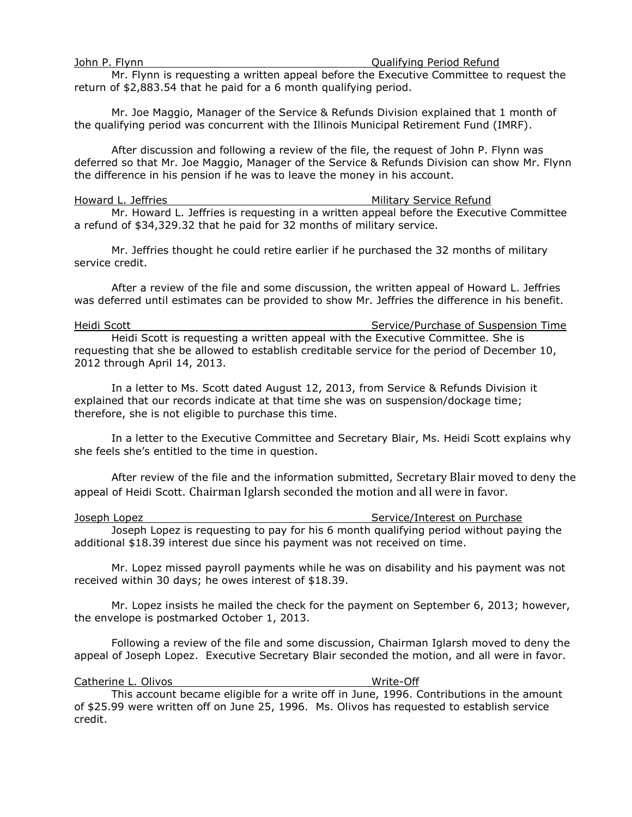### John P. Flynn **Derifying Period Refund**

Mr. Flynn is requesting a written appeal before the Executive Committee to request the return of \$2,883.54 that he paid for a 6 month qualifying period.

Mr. Joe Maggio, Manager of the Service & Refunds Division explained that 1 month of the qualifying period was concurrent with the Illinois Municipal Retirement Fund (IMRF).

After discussion and following a review of the file, the request of John P. Flynn was deferred so that Mr. Joe Maggio, Manager of the Service & Refunds Division can show Mr. Flynn the difference in his pension if he was to leave the money in his account.

# Howard L. Jeffries **Military Service Refund**

Mr. Howard L. Jeffries is requesting in a written appeal before the Executive Committee a refund of \$34,329.32 that he paid for 32 months of military service.

Mr. Jeffries thought he could retire earlier if he purchased the 32 months of military service credit.

After a review of the file and some discussion, the written appeal of Howard L. Jeffries was deferred until estimates can be provided to show Mr. Jeffries the difference in his benefit.

Heidi Scott Service/Purchase of Suspension Time Heidi Scott is requesting a written appeal with the Executive Committee. She is requesting that she be allowed to establish creditable service for the period of December 10, 2012 through April 14, 2013.

In a letter to Ms. Scott dated August 12, 2013, from Service & Refunds Division it explained that our records indicate at that time she was on suspension/dockage time; therefore, she is not eligible to purchase this time.

In a letter to the Executive Committee and Secretary Blair, Ms. Heidi Scott explains why she feels she's entitled to the time in question.

After review of the file and the information submitted, Secretary Blair moved to deny the appeal of Heidi Scott. Chairman Iglarsh seconded the motion and all were in favor.

Joseph Lopez **Service**/Interest on Purchase Joseph Lopez is requesting to pay for his 6 month qualifying period without paying the additional \$18.39 interest due since his payment was not received on time.

Mr. Lopez missed payroll payments while he was on disability and his payment was not received within 30 days; he owes interest of \$18.39.

Mr. Lopez insists he mailed the check for the payment on September 6, 2013; however, the envelope is postmarked October 1, 2013.

Following a review of the file and some discussion, Chairman Iglarsh moved to deny the appeal of Joseph Lopez. Executive Secretary Blair seconded the motion, and all were in favor.

### Catherine L. Olivos **Write-Off**

This account became eligible for a write off in June, 1996. Contributions in the amount of \$25.99 were written off on June 25, 1996. Ms. Olivos has requested to establish service credit.